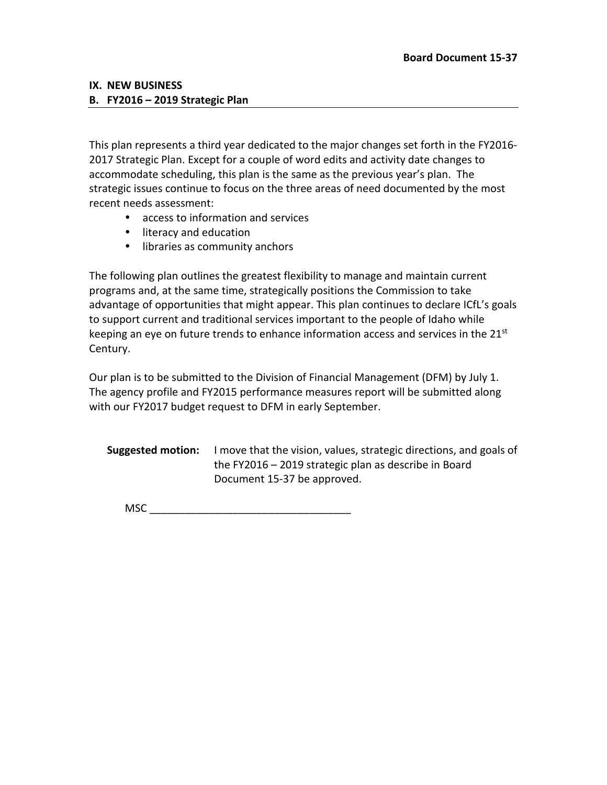#### **IX. NEW BUSINESS**

#### **B. FY2016 – 2019 Strategic Plan**

This plan represents a third year dedicated to the major changes set forth in the FY2016- 2017 Strategic Plan. Except for a couple of word edits and activity date changes to accommodate scheduling, this plan is the same as the previous year's plan. The strategic issues continue to focus on the three areas of need documented by the most recent needs assessment:

- access to information and services
- literacy and education
- libraries as community anchors

The following plan outlines the greatest flexibility to manage and maintain current programs and, at the same time, strategically positions the Commission to take advantage of opportunities that might appear. This plan continues to declare ICfL's goals to support current and traditional services important to the people of Idaho while keeping an eye on future trends to enhance information access and services in the  $21^{st}$ Century.

Our plan is to be submitted to the Division of Financial Management (DFM) by July 1. The agency profile and FY2015 performance measures report will be submitted along with our FY2017 budget request to DFM in early September.

**Suggested motion:** I move that the vision, values, strategic directions, and goals of the FY2016 – 2019 strategic plan as describe in Board Document 15-37 be approved.

 $MSC$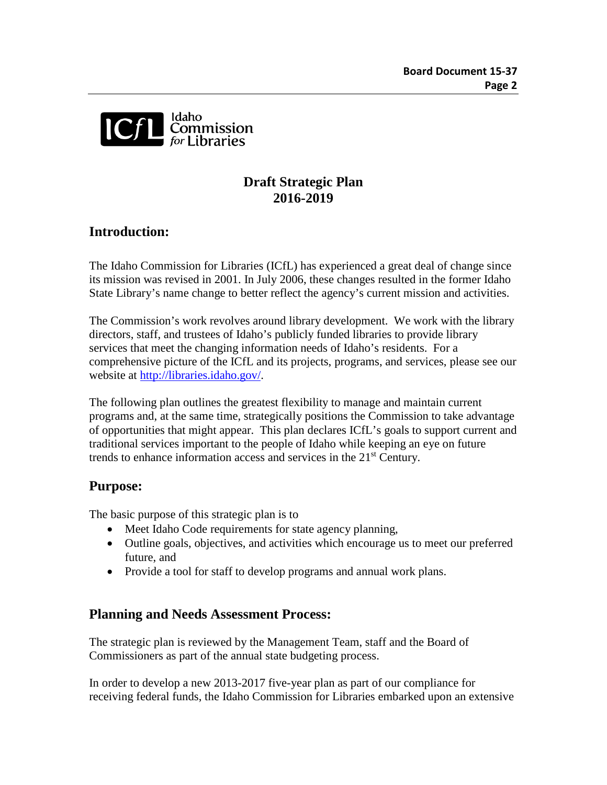

# **Draft Strategic Plan 2016-2019**

# **Introduction:**

The Idaho Commission for Libraries (ICfL) has experienced a great deal of change since its mission was revised in 2001. In July 2006, these changes resulted in the former Idaho State Library's name change to better reflect the agency's current mission and activities.

The Commission's work revolves around library development. We work with the library directors, staff, and trustees of Idaho's publicly funded libraries to provide library services that meet the changing information needs of Idaho's residents. For a comprehensive picture of the ICfL and its projects, programs, and services, please see our website at [http://libraries.idaho.gov/.](http://libraries.idaho.gov/)

The following plan outlines the greatest flexibility to manage and maintain current programs and, at the same time, strategically positions the Commission to take advantage of opportunities that might appear. This plan declares ICfL's goals to support current and traditional services important to the people of Idaho while keeping an eye on future trends to enhance information access and services in the 21<sup>st</sup> Century.

# **Purpose:**

The basic purpose of this strategic plan is to

- Meet Idaho Code requirements for state agency planning,
- Outline goals, objectives, and activities which encourage us to meet our preferred future, and
- Provide a tool for staff to develop programs and annual work plans.

## **Planning and Needs Assessment Process:**

The strategic plan is reviewed by the Management Team, staff and the Board of Commissioners as part of the annual state budgeting process.

In order to develop a new 2013-2017 five-year plan as part of our compliance for receiving federal funds, the Idaho Commission for Libraries embarked upon an extensive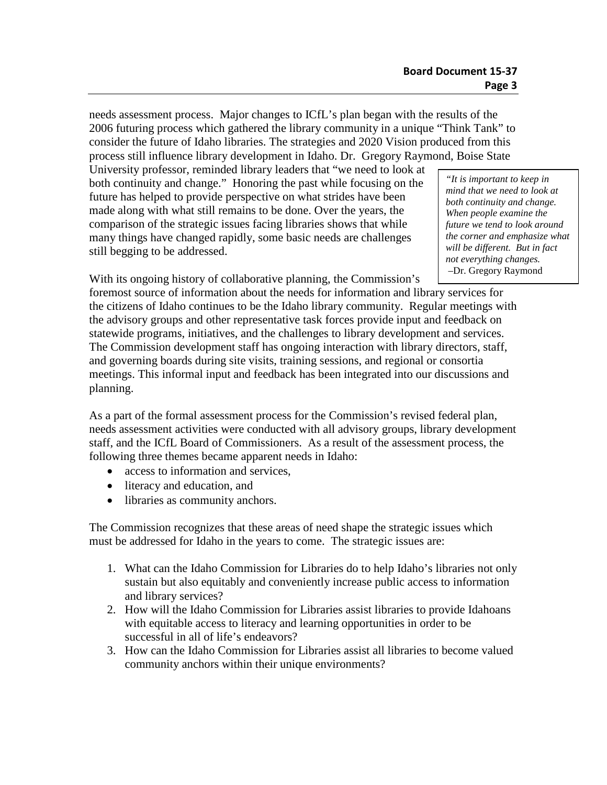needs assessment process. Major changes to ICfL's plan began with the results of the 2006 futuring process which gathered the library community in a unique "Think Tank" to consider the future of Idaho libraries. The strategies and 2020 Vision produced from this process still influence library development in Idaho. Dr. Gregory Raymond, Boise State

University professor, reminded library leaders that "we need to look at both continuity and change." Honoring the past while focusing on the future has helped to provide perspective on what strides have been made along with what still remains to be done. Over the years, the comparison of the strategic issues facing libraries shows that while many things have changed rapidly, some basic needs are challenges still begging to be addressed.

*"It is important to keep in mind that we need to look at both continuity and change. When people examine the future we tend to look around the corner and emphasize what will be different. But in fact not everything changes.* –Dr. Gregory Raymond

With its ongoing history of collaborative planning, the Commission's

foremost source of information about the needs for information and library services for the citizens of Idaho continues to be the Idaho library community. Regular meetings with the advisory groups and other representative task forces provide input and feedback on statewide programs, initiatives, and the challenges to library development and services. The Commission development staff has ongoing interaction with library directors, staff, and governing boards during site visits, training sessions, and regional or consortia meetings. This informal input and feedback has been integrated into our discussions and planning.

As a part of the formal assessment process for the Commission's revised federal plan, needs assessment activities were conducted with all advisory groups, library development staff, and the ICfL Board of Commissioners. As a result of the assessment process, the following three themes became apparent needs in Idaho:

- access to information and services,
- literacy and education, and
- libraries as community anchors.

The Commission recognizes that these areas of need shape the strategic issues which must be addressed for Idaho in the years to come. The strategic issues are:

- 1. What can the Idaho Commission for Libraries do to help Idaho's libraries not only sustain but also equitably and conveniently increase public access to information and library services?
- 2. How will the Idaho Commission for Libraries assist libraries to provide Idahoans with equitable access to literacy and learning opportunities in order to be successful in all of life's endeavors?
- 3. How can the Idaho Commission for Libraries assist all libraries to become valued community anchors within their unique environments?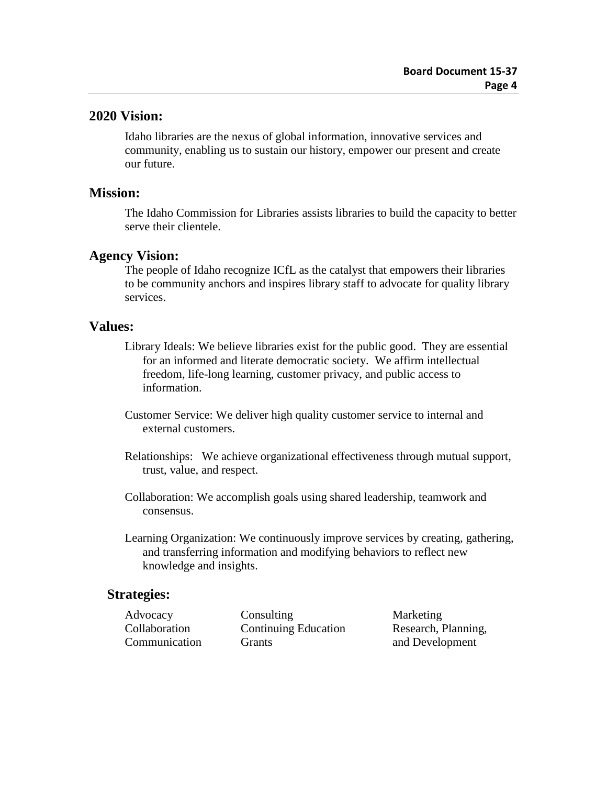## **2020 Vision:**

Idaho libraries are the nexus of global information, innovative services and community, enabling us to sustain our history, empower our present and create our future.

## **Mission:**

The Idaho Commission for Libraries assists libraries to build the capacity to better serve their clientele.

## **Agency Vision:**

The people of Idaho recognize ICfL as the catalyst that empowers their libraries to be community anchors and inspires library staff to advocate for quality library services.

## **Values:**

- Library Ideals: We believe libraries exist for the public good. They are essential for an informed and literate democratic society. We affirm intellectual freedom, life-long learning, customer privacy, and public access to information.
- Customer Service: We deliver high quality customer service to internal and external customers.
- Relationships: We achieve organizational effectiveness through mutual support, trust, value, and respect.
- Collaboration: We accomplish goals using shared leadership, teamwork and consensus.
- Learning Organization: We continuously improve services by creating, gathering, and transferring information and modifying behaviors to reflect new knowledge and insights.

## **Strategies:**

Advocacy Consulting Marketing Collaboration Continuing Education Research, Planning, Communication Grants Grants and Development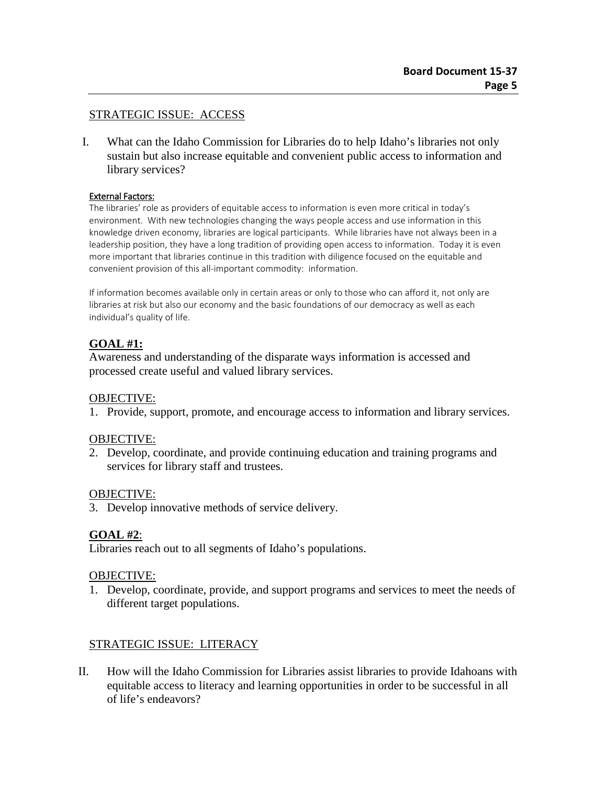## STRATEGIC ISSUE: ACCESS

I. What can the Idaho Commission for Libraries do to help Idaho's libraries not only sustain but also increase equitable and convenient public access to information and library services?

#### External Factors:

The libraries' role as providers of equitable access to information is even more critical in today's environment. With new technologies changing the ways people access and use information in this knowledge driven economy, libraries are logical participants. While libraries have not always been in a leadership position, they have a long tradition of providing open access to information. Today it is even more important that libraries continue in this tradition with diligence focused on the equitable and convenient provision of this all-important commodity: information.

If information becomes available only in certain areas or only to those who can afford it, not only are libraries at risk but also our economy and the basic foundations of our democracy as well as each individual's quality of life.

## **GOAL #1:**

Awareness and understanding of the disparate ways information is accessed and processed create useful and valued library services.

### OBJECTIVE:

1. Provide, support, promote, and encourage access to information and library services.

### OBJECTIVE:

2. Develop, coordinate, and provide continuing education and training programs and services for library staff and trustees.

### OBJECTIVE:

3. Develop innovative methods of service delivery.

## **GOAL #2**:

Libraries reach out to all segments of Idaho's populations.

## OBJECTIVE:

1. Develop, coordinate, provide, and support programs and services to meet the needs of different target populations.

## STRATEGIC ISSUE: LITERACY

II. How will the Idaho Commission for Libraries assist libraries to provide Idahoans with equitable access to literacy and learning opportunities in order to be successful in all of life's endeavors?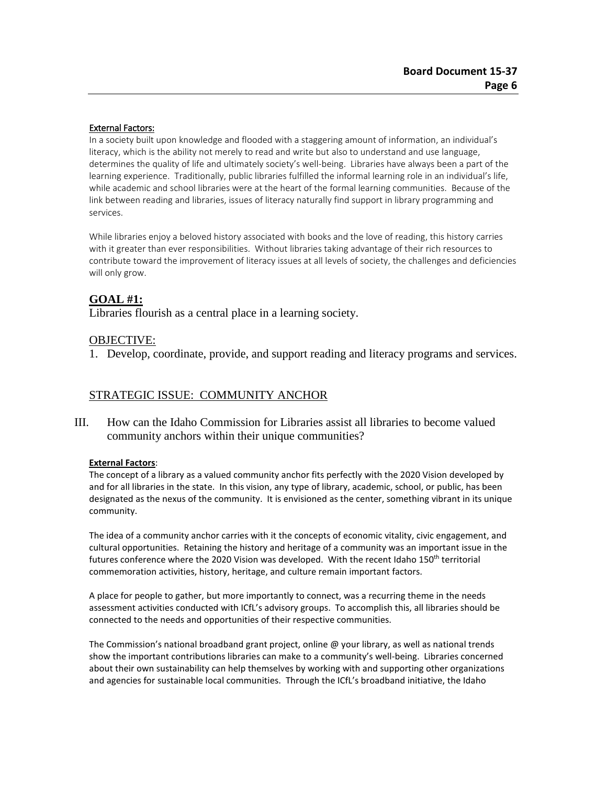#### External Factors:

In a society built upon knowledge and flooded with a staggering amount of information, an individual's literacy, which is the ability not merely to read and write but also to understand and use language, determines the quality of life and ultimately society's well-being. Libraries have always been a part of the learning experience. Traditionally, public libraries fulfilled the informal learning role in an individual's life, while academic and school libraries were at the heart of the formal learning communities. Because of the link between reading and libraries, issues of literacy naturally find support in library programming and services.

While libraries enjoy a beloved history associated with books and the love of reading, this history carries with it greater than ever responsibilities. Without libraries taking advantage of their rich resources to contribute toward the improvement of literacy issues at all levels of society, the challenges and deficiencies will only grow.

### **GOAL #1:**

Libraries flourish as a central place in a learning society.

### OBJECTIVE:

1. Develop, coordinate, provide, and support reading and literacy programs and services.

### STRATEGIC ISSUE: COMMUNITY ANCHOR

III. How can the Idaho Commission for Libraries assist all libraries to become valued community anchors within their unique communities?

#### **External Factors**:

The concept of a library as a valued community anchor fits perfectly with the 2020 Vision developed by and for all libraries in the state. In this vision, any type of library, academic, school, or public, has been designated as the nexus of the community. It is envisioned as the center, something vibrant in its unique community.

The idea of a community anchor carries with it the concepts of economic vitality, civic engagement, and cultural opportunities. Retaining the history and heritage of a community was an important issue in the futures conference where the 2020 Vision was developed. With the recent Idaho 150<sup>th</sup> territorial commemoration activities, history, heritage, and culture remain important factors.

A place for people to gather, but more importantly to connect, was a recurring theme in the needs assessment activities conducted with ICfL's advisory groups. To accomplish this, all libraries should be connected to the needs and opportunities of their respective communities.

The Commission's national broadband grant project, online @ your library, as well as national trends show the important contributions libraries can make to a community's well-being. Libraries concerned about their own sustainability can help themselves by working with and supporting other organizations and agencies for sustainable local communities. Through the ICfL's broadband initiative, the Idaho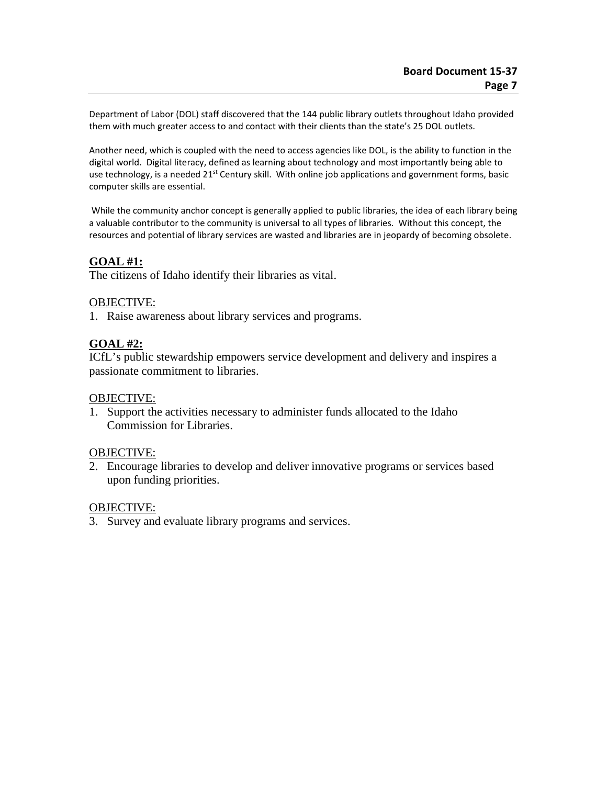Department of Labor (DOL) staff discovered that the 144 public library outlets throughout Idaho provided them with much greater access to and contact with their clients than the state's 25 DOL outlets.

Another need, which is coupled with the need to access agencies like DOL, is the ability to function in the digital world. Digital literacy, defined as learning about technology and most importantly being able to use technology, is a needed 21<sup>st</sup> Century skill. With online job applications and government forms, basic computer skills are essential.

While the community anchor concept is generally applied to public libraries, the idea of each library being a valuable contributor to the community is universal to all types of libraries. Without this concept, the resources and potential of library services are wasted and libraries are in jeopardy of becoming obsolete.

## **GOAL #1:**

The citizens of Idaho identify their libraries as vital.

### OBJECTIVE:

1. Raise awareness about library services and programs.

## **GOAL #2:**

ICfL's public stewardship empowers service development and delivery and inspires a passionate commitment to libraries.

### OBJECTIVE:

1. Support the activities necessary to administer funds allocated to the Idaho Commission for Libraries.

### OBJECTIVE:

2. Encourage libraries to develop and deliver innovative programs or services based upon funding priorities.

### OBJECTIVE:

3. Survey and evaluate library programs and services.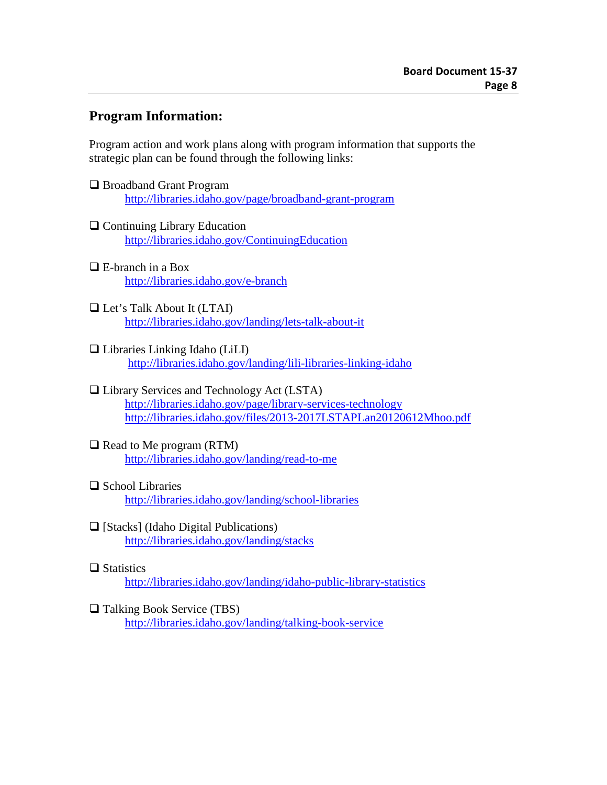# **Program Information:**

Program action and work plans along with program information that supports the strategic plan can be found through the following links:

- □ Broadband Grant Program <http://libraries.idaho.gov/page/broadband-grant-program>
- $\Box$  Continuing Library Education <http://libraries.idaho.gov/ContinuingEducation>
- E-branch in a Box <http://libraries.idaho.gov/e-branch>
- □ Let's Talk About It (LTAI) <http://libraries.idaho.gov/landing/lets-talk-about-it>
- $\Box$  Libraries Linking Idaho (LiLI) <http://libraries.idaho.gov/landing/lili-libraries-linking-idaho>

## Library Services and Technology Act (LSTA) <http://libraries.idaho.gov/page/library-services-technology> <http://libraries.idaho.gov/files/2013-2017LSTAPLan20120612Mhoo.pdf>

### $\Box$  Read to Me program (RTM) <http://libraries.idaho.gov/landing/read-to-me>

- $\Box$  School Libraries <http://libraries.idaho.gov/landing/school-libraries>
- $\Box$  [Stacks] (Idaho Digital Publications) <http://libraries.idaho.gov/landing/stacks>

## $\Box$  Statistics

<http://libraries.idaho.gov/landing/idaho-public-library-statistics>

## □ Talking Book Service (TBS)

<http://libraries.idaho.gov/landing/talking-book-service>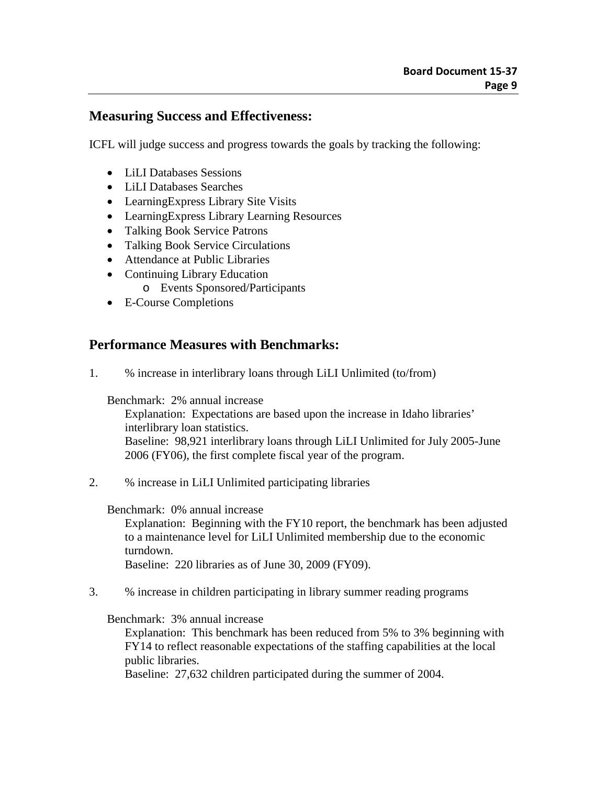## **Measuring Success and Effectiveness:**

ICFL will judge success and progress towards the goals by tracking the following:

- LiLI Databases Sessions
- LiLI Databases Searches
- LearningExpress Library Site Visits
- LearningExpress Library Learning Resources
- Talking Book Service Patrons
- Talking Book Service Circulations
- Attendance at Public Libraries
- Continuing Library Education
	- o Events Sponsored/Participants
- E-Course Completions

## **Performance Measures with Benchmarks:**

1. % increase in interlibrary loans through LiLI Unlimited (to/from)

Benchmark: 2% annual increase

Explanation: Expectations are based upon the increase in Idaho libraries' interlibrary loan statistics. Baseline: 98,921 interlibrary loans through LiLI Unlimited for July 2005-June 2006 (FY06), the first complete fiscal year of the program.

2. % increase in LiLI Unlimited participating libraries

Benchmark: 0% annual increase

Explanation: Beginning with the FY10 report, the benchmark has been adjusted to a maintenance level for LiLI Unlimited membership due to the economic turndown.

Baseline: 220 libraries as of June 30, 2009 (FY09).

3. % increase in children participating in library summer reading programs

Benchmark: 3% annual increase

Explanation: This benchmark has been reduced from 5% to 3% beginning with FY14 to reflect reasonable expectations of the staffing capabilities at the local public libraries.

Baseline: 27,632 children participated during the summer of 2004.